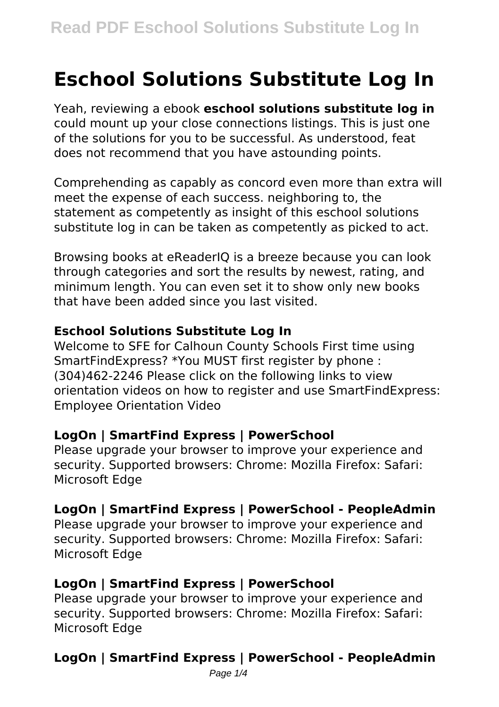# **Eschool Solutions Substitute Log In**

Yeah, reviewing a ebook **eschool solutions substitute log in** could mount up your close connections listings. This is just one of the solutions for you to be successful. As understood, feat does not recommend that you have astounding points.

Comprehending as capably as concord even more than extra will meet the expense of each success. neighboring to, the statement as competently as insight of this eschool solutions substitute log in can be taken as competently as picked to act.

Browsing books at eReaderIQ is a breeze because you can look through categories and sort the results by newest, rating, and minimum length. You can even set it to show only new books that have been added since you last visited.

#### **Eschool Solutions Substitute Log In**

Welcome to SFE for Calhoun County Schools First time using SmartFindExpress? \*You MUST first register by phone : (304)462-2246 Please click on the following links to view orientation videos on how to register and use SmartFindExpress: Employee Orientation Video

# **LogOn | SmartFind Express | PowerSchool**

Please upgrade your browser to improve your experience and security. Supported browsers: Chrome: Mozilla Firefox: Safari: Microsoft Edge

# **LogOn | SmartFind Express | PowerSchool - PeopleAdmin**

Please upgrade your browser to improve your experience and security. Supported browsers: Chrome: Mozilla Firefox: Safari: Microsoft Edge

# **LogOn | SmartFind Express | PowerSchool**

Please upgrade your browser to improve your experience and security. Supported browsers: Chrome: Mozilla Firefox: Safari: Microsoft Edge

# **LogOn | SmartFind Express | PowerSchool - PeopleAdmin**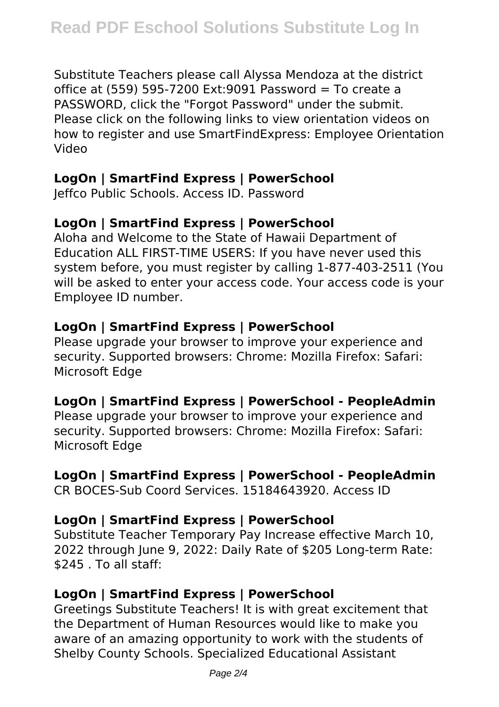Substitute Teachers please call Alyssa Mendoza at the district office at (559) 595-7200 Ext:9091 Password = To create a PASSWORD, click the "Forgot Password" under the submit. Please click on the following links to view orientation videos on how to register and use SmartFindExpress: Employee Orientation Video

#### **LogOn | SmartFind Express | PowerSchool**

Jeffco Public Schools. Access ID. Password

# **LogOn | SmartFind Express | PowerSchool**

Aloha and Welcome to the State of Hawaii Department of Education ALL FIRST-TIME USERS: If you have never used this system before, you must register by calling 1-877-403-2511 (You will be asked to enter your access code. Your access code is your Employee ID number.

# **LogOn | SmartFind Express | PowerSchool**

Please upgrade your browser to improve your experience and security. Supported browsers: Chrome: Mozilla Firefox: Safari: Microsoft Edge

# **LogOn | SmartFind Express | PowerSchool - PeopleAdmin**

Please upgrade your browser to improve your experience and security. Supported browsers: Chrome: Mozilla Firefox: Safari: Microsoft Edge

# **LogOn | SmartFind Express | PowerSchool - PeopleAdmin**

CR BOCES-Sub Coord Services. 15184643920. Access ID

# **LogOn | SmartFind Express | PowerSchool**

Substitute Teacher Temporary Pay Increase effective March 10, 2022 through June 9, 2022: Daily Rate of \$205 Long-term Rate: \$245 . To all staff:

# **LogOn | SmartFind Express | PowerSchool**

Greetings Substitute Teachers! It is with great excitement that the Department of Human Resources would like to make you aware of an amazing opportunity to work with the students of Shelby County Schools. Specialized Educational Assistant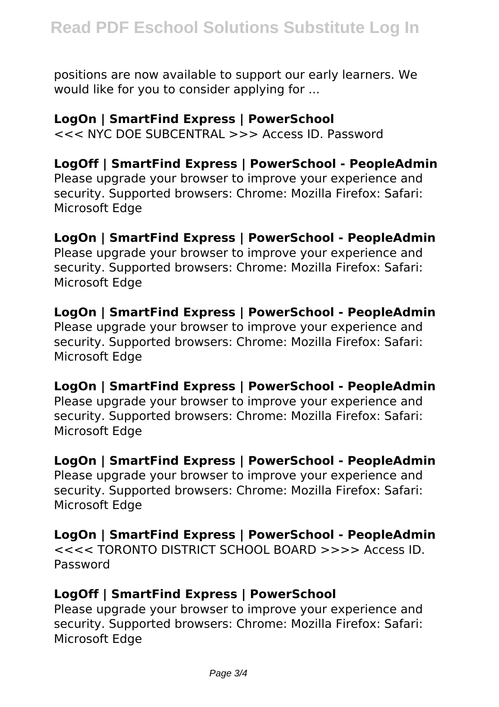positions are now available to support our early learners. We would like for you to consider applying for ...

#### **LogOn | SmartFind Express | PowerSchool**

<<< NYC DOE SUBCENTRAL >>> Access ID. Password

#### **LogOff | SmartFind Express | PowerSchool - PeopleAdmin**

Please upgrade your browser to improve your experience and security. Supported browsers: Chrome: Mozilla Firefox: Safari: Microsoft Edge

#### **LogOn | SmartFind Express | PowerSchool - PeopleAdmin**

Please upgrade your browser to improve your experience and security. Supported browsers: Chrome: Mozilla Firefox: Safari: Microsoft Edge

#### **LogOn | SmartFind Express | PowerSchool - PeopleAdmin**

Please upgrade your browser to improve your experience and security. Supported browsers: Chrome: Mozilla Firefox: Safari: Microsoft Edge

#### **LogOn | SmartFind Express | PowerSchool - PeopleAdmin**

Please upgrade your browser to improve your experience and security. Supported browsers: Chrome: Mozilla Firefox: Safari: Microsoft Edge

#### **LogOn | SmartFind Express | PowerSchool - PeopleAdmin**

Please upgrade your browser to improve your experience and security. Supported browsers: Chrome: Mozilla Firefox: Safari: Microsoft Edge

#### **LogOn | SmartFind Express | PowerSchool - PeopleAdmin**

<<<< TORONTO DISTRICT SCHOOL BOARD >>>> Access ID. Password

#### **LogOff | SmartFind Express | PowerSchool**

Please upgrade your browser to improve your experience and security. Supported browsers: Chrome: Mozilla Firefox: Safari: Microsoft Edge